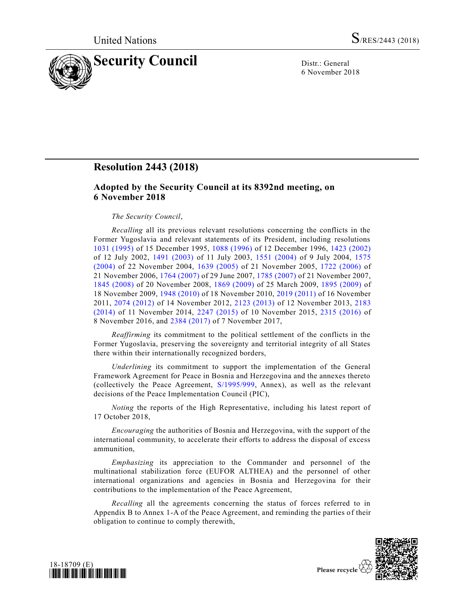

6 November 2018

## **Resolution 2443 (2018)**

## **Adopted by the Security Council at its 8392nd meeting, on 6 November 2018**

## *The Security Council*,

*Recalling* all its previous relevant resolutions concerning the conflicts in the Former Yugoslavia and relevant statements of its President, including resolutions [1031 \(1995\)](https://undocs.org/S/RES/1031(1995)) of 15 December 1995, [1088 \(1996\)](https://undocs.org/S/RES/1088(1996)) of 12 December 1996, [1423 \(2002\)](https://undocs.org/S/RES/1423(2002)) of 12 July 2002, [1491 \(2003\)](https://undocs.org/S/RES/1491(2003)) of 11 July 2003, [1551 \(2004\)](https://undocs.org/S/RES/1551(2004)) of 9 July 2004, [1575](https://undocs.org/S/RES/1575(2004))  [\(2004\)](https://undocs.org/S/RES/1575(2004)) of 22 November 2004, [1639 \(2005\)](https://undocs.org/S/RES/1639(2005)) of 21 November 2005, [1722 \(2006\)](https://undocs.org/S/RES/1722(2006)) of 21 November 2006, [1764 \(2007\)](https://undocs.org/S/RES/1764(2007)) of 29 June 2007, [1785 \(2007\)](https://undocs.org/S/RES/1785(2007)) of 21 November 2007, [1845 \(2008\)](https://undocs.org/S/RES/1845(2008)) of 20 November 2008, [1869 \(2009\)](https://undocs.org/S/RES/1869(2009)) of 25 March 2009, [1895 \(2009\)](https://undocs.org/S/RES/1895(2009)) of 18 November 2009, [1948 \(2010\)](https://undocs.org/S/RES/1948(2010)) of 18 November 2010, [2019 \(2011\)](https://undocs.org/S/RES/2019(2011)) of 16 November 2011, [2074 \(2012\)](https://undocs.org/S/RES/2074(2012)) of 14 November 2012, [2123 \(2013\)](https://undocs.org/S/RES/2123(2013)) of 12 November 2013, [2183](https://undocs.org/S/RES/2183(2014))  [\(2014\)](https://undocs.org/S/RES/2183(2014)) of 11 November 2014, [2247 \(2015\)](https://undocs.org/S/RES/2247(2015)) of 10 November 2015, [2315 \(2016\)](https://undocs.org/S/RES/2315(2016)) of 8 November 2016, and [2384 \(2017\)](https://undocs.org/S/RES/2384(2017)) of 7 November 2017,

*Reaffirming* its commitment to the political settlement of the conflicts in the Former Yugoslavia, preserving the sovereignty and territorial integrity of all States there within their internationally recognized borders,

*Underlining* its commitment to support the implementation of the General Framework Agreement for Peace in Bosnia and Herzegovina and the annexes thereto (collectively the Peace Agreement, [S/1995/999,](https://undocs.org/S/1995/999) Annex), as well as the relevant decisions of the Peace Implementation Council (PIC),

*Noting* the reports of the High Representative, including his latest report of 17 October 2018,

*Encouraging* the authorities of Bosnia and Herzegovina, with the support of the international community, to accelerate their efforts to address the disposal of excess ammunition,

*Emphasizing* its appreciation to the Commander and personnel of the multinational stabilization force (EUFOR ALTHEA) and the personnel of other international organizations and agencies in Bosnia and Herzegovina for their contributions to the implementation of the Peace Agreement,

*Recalling* all the agreements concerning the status of forces referred to in Appendix B to Annex 1-A of the Peace Agreement, and reminding the parties of their obligation to continue to comply therewith,



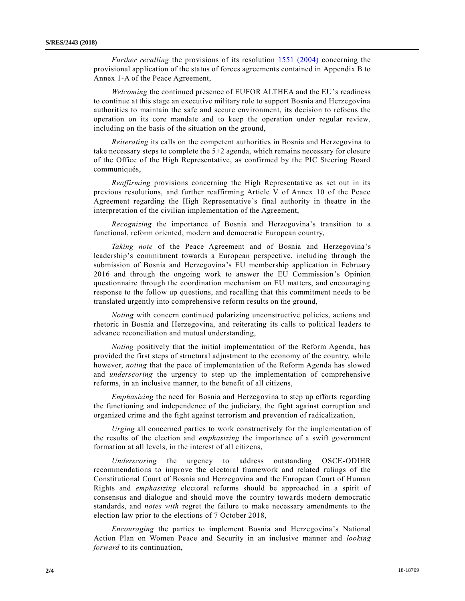*Further recalling* the provisions of its resolution [1551 \(2004\)](https://undocs.org/S/RES/1551(2004)) concerning the provisional application of the status of forces agreements contained in Appendix B to Annex 1-A of the Peace Agreement,

*Welcoming* the continued presence of EUFOR ALTHEA and the EU's readiness to continue at this stage an executive military role to support Bosnia and Herzegovina authorities to maintain the safe and secure environment, its decision to refocus the operation on its core mandate and to keep the operation under regular review, including on the basis of the situation on the ground,

*Reiterating* its calls on the competent authorities in Bosnia and Herzegovina to take necessary steps to complete the 5+2 agenda, which remains necessary for closure of the Office of the High Representative, as confirmed by the PIC Steering Board communiqués,

*Reaffirming* provisions concerning the High Representative as set out in its previous resolutions, and further reaffirming Article V of Annex 10 of the Peace Agreement regarding the High Representative's final authority in theatre in the interpretation of the civilian implementation of the Agreement,

*Recognizing* the importance of Bosnia and Herzegovina's transition to a functional, reform oriented, modern and democratic European country,

*Taking note* of the Peace Agreement and of Bosnia and Herzegovina's leadership's commitment towards a European perspective, including through the submission of Bosnia and Herzegovina's EU membership application in February 2016 and through the ongoing work to answer the EU Commission's Opinion questionnaire through the coordination mechanism on EU matters, and encouraging response to the follow up questions, and recalling that this commitment needs to be translated urgently into comprehensive reform results on the ground,

*Noting* with concern continued polarizing unconstructive policies, actions and rhetoric in Bosnia and Herzegovina, and reiterating its calls to political leaders to advance reconciliation and mutual understanding,

*Noting* positively that the initial implementation of the Reform Agenda, has provided the first steps of structural adjustment to the economy of the country, while however, *noting* that the pace of implementation of the Reform Agenda has slowed and *underscoring* the urgency to step up the implementation of comprehensive reforms, in an inclusive manner, to the benefit of all citizens,

*Emphasizing* the need for Bosnia and Herzegovina to step up efforts regarding the functioning and independence of the judiciary, the fight against corruption and organized crime and the fight against terrorism and prevention of radicalization,

*Urging* all concerned parties to work constructively for the implementation of the results of the election and *emphasizing* the importance of a swift government formation at all levels, in the interest of all citizens,

*Underscoring* the urgency to address outstanding OSCE-ODIHR recommendations to improve the electoral framework and related rulings of the Constitutional Court of Bosnia and Herzegovina and the European Court of Human Rights and *emphasizing* electoral reforms should be approached in a spirit of consensus and dialogue and should move the country towards modern democratic standards, and *notes with* regret the failure to make necessary amendments to the election law prior to the elections of 7 October 2018,

*Encouraging* the parties to implement Bosnia and Herzegovina's National Action Plan on Women Peace and Security in an inclusive manner and *looking forward* to its continuation,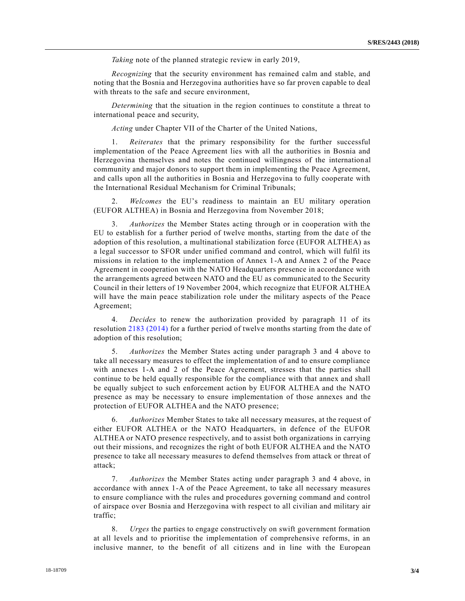*Taking* note of the planned strategic review in early 2019,

*Recognizing* that the security environment has remained calm and stable, and noting that the Bosnia and Herzegovina authorities have so far proven capable to deal with threats to the safe and secure environment,

*Determining* that the situation in the region continues to constitute a threat to international peace and security,

*Acting* under Chapter VII of the Charter of the United Nations,

1. *Reiterates* that the primary responsibility for the further successful implementation of the Peace Agreement lies with all the authorities in Bosnia and Herzegovina themselves and notes the continued willingness of the international community and major donors to support them in implementing the Peace Agreement, and calls upon all the authorities in Bosnia and Herzegovina to fully cooperate with the International Residual Mechanism for Criminal Tribunals;

2. *Welcomes* the EU's readiness to maintain an EU military operation (EUFOR ALTHEA) in Bosnia and Herzegovina from November 2018;

3. *Authorizes* the Member States acting through or in cooperation with the EU to establish for a further period of twelve months, starting from the date of the adoption of this resolution, a multinational stabilization force (EUFOR ALTHEA) as a legal successor to SFOR under unified command and control, which will fulfil its missions in relation to the implementation of Annex 1-A and Annex 2 of the Peace Agreement in cooperation with the NATO Headquarters presence in accordance with the arrangements agreed between NATO and the EU as communicated to the Security Council in their letters of 19 November 2004, which recognize that EUFOR ALTHEA will have the main peace stabilization role under the military aspects of the Peace Agreement;

4. *Decides* to renew the authorization provided by paragraph 11 of its resolution [2183 \(2014\)](https://undocs.org/S/RES/2183(2014)) for a further period of twelve months starting from the date of adoption of this resolution;

5. *Authorizes* the Member States acting under paragraph 3 and 4 above to take all necessary measures to effect the implementation of and to ensure compliance with annexes 1-A and 2 of the Peace Agreement, stresses that the parties shall continue to be held equally responsible for the compliance with that annex and shall be equally subject to such enforcement action by EUFOR ALTHEA and the NATO presence as may be necessary to ensure implementation of those annexes and the protection of EUFOR ALTHEA and the NATO presence;

6. *Authorizes* Member States to take all necessary measures, at the request of either EUFOR ALTHEA or the NATO Headquarters, in defence of the EUFOR ALTHEA or NATO presence respectively, and to assist both organizations in carrying out their missions, and recognizes the right of both EUFOR ALTHEA and the NATO presence to take all necessary measures to defend themselves from attack or threat of attack;

7. *Authorizes* the Member States acting under paragraph 3 and 4 above, in accordance with annex 1-A of the Peace Agreement, to take all necessary measures to ensure compliance with the rules and procedures governing command and control of airspace over Bosnia and Herzegovina with respect to all civilian and military air traffic;

8. *Urges* the parties to engage constructively on swift government formation at all levels and to prioritise the implementation of comprehensive reforms, in an inclusive manner, to the benefit of all citizens and in line with the European